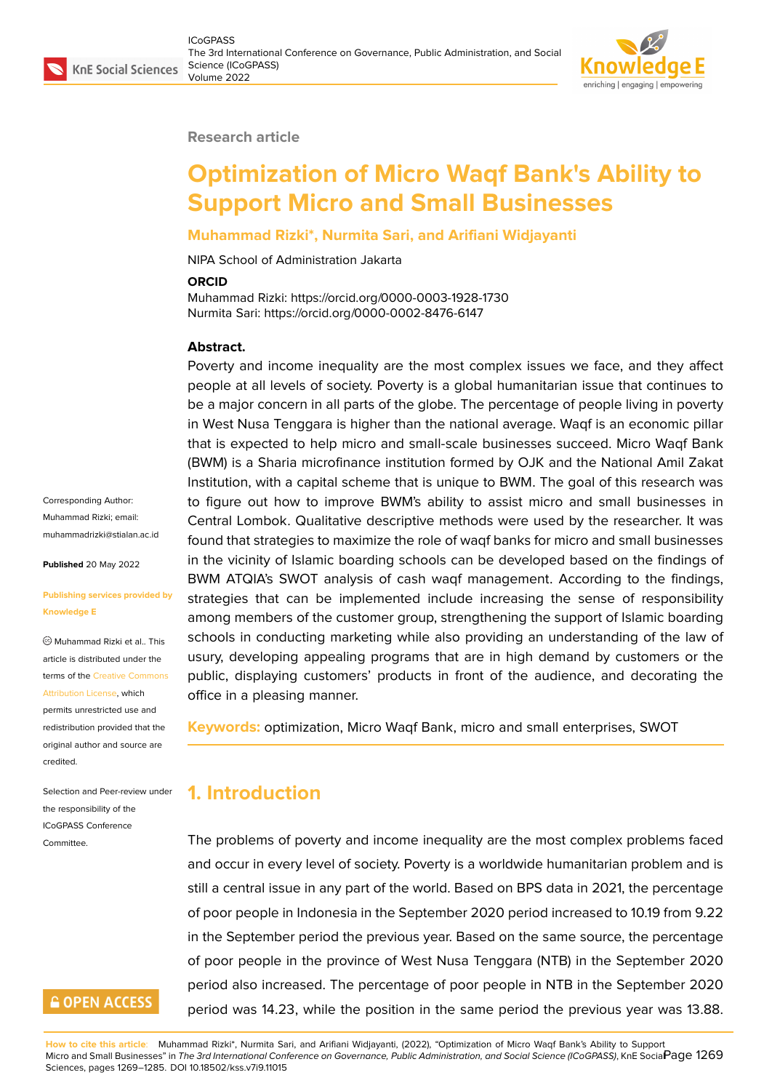### **Research article**

# **Optimization of Micro Waqf Bank's Ability to Support Micro and Small Businesses**

### **Muhammad Rizki\*, Nurmita Sari, and Arifiani Widjayanti**

NIPA School of Administration Jakarta

#### **ORCID**

Muhammad Rizki: https://orcid.org/0000-0003-1928-1730 Nurmita Sari: https://orcid.org/0000-0002-8476-6147

### **Abstract.**

Poverty and income inequality are the most complex issues we face, and they affect people at all levels of society. Poverty is a global humanitarian issue that continues to be a major concern in all parts of the globe. The percentage of people living in poverty in West Nusa Tenggara is higher than the national average. Waqf is an economic pillar that is expected to help micro and small-scale businesses succeed. Micro Waqf Bank (BWM) is a Sharia microfinance institution formed by OJK and the National Amil Zakat Institution, with a capital scheme that is unique to BWM. The goal of this research was to figure out how to improve BWM's ability to assist micro and small businesses in Central Lombok. Qualitative descriptive methods were used by the researcher. It was found that strategies to maximize the role of waqf banks for micro and small businesses in the vicinity of Islamic boarding schools can be developed based on the findings of BWM ATQIA's SWOT analysis of cash waqf management. According to the findings, strategies that can be implemented include increasing the sense of responsibility among members of the customer group, strengthening the support of Islamic boarding schools in conducting marketing while also providing an understanding of the law of usury, developing appealing programs that are in high demand by customers or the public, displaying customers' products in front of the audience, and decorating the office in a pleasing manner.

**Keywords:** optimization, Micro Waqf Bank, micro and small enterprises, SWOT

# **1. Introduction**

The problems of poverty and income inequality are the most complex problems faced and occur in every level of society. Poverty is a worldwide humanitarian problem and is still a central issue in any part of the world. Based on BPS data in 2021, the percentage of poor people in Indonesia in the September 2020 period increased to 10.19 from 9.22 in the September period the previous year. Based on the same source, the percentage of poor people in the province of West Nusa Tenggara (NTB) in the September 2020 period also increased. The percentage of poor people in NTB in the September 2020 period was 14.23, while the position in the same period the previous year was 13.88.

**How to cite this article**: Muhammad Rizki\*, Nurmita Sari, and Arifiani Widjayanti, (2022), "Optimization of Micro Waqf Bank's Ability to Support Micro and Small Businesses" in *The 3rd International Conference on Governance, Public Administration, and Social Science (ICoGPASS)*, KnE Social Page 1269 Sciences, pages 1269–1285. DOI 10.18502/kss.v7i9.11015

Corresponding Author: Muhammad Rizki; email: muhammadrizki@stialan.ac.id

**Published** 20 May 2022

### **[Publishing services provided](mailto:muhammadrizki@stialan.ac.id) by Knowledge E**

Muhammad Rizki et al.. This article is distributed under the terms of the Creative Commons Attribution License, which

permits unrestricted use and redistribution provided that the original auth[or and source are](https://creativecommons.org/licenses/by/4.0/) [credited.](https://creativecommons.org/licenses/by/4.0/)

Selection and Peer-review under the responsibility of the ICoGPASS Conference Committee.

# **GOPEN ACCESS**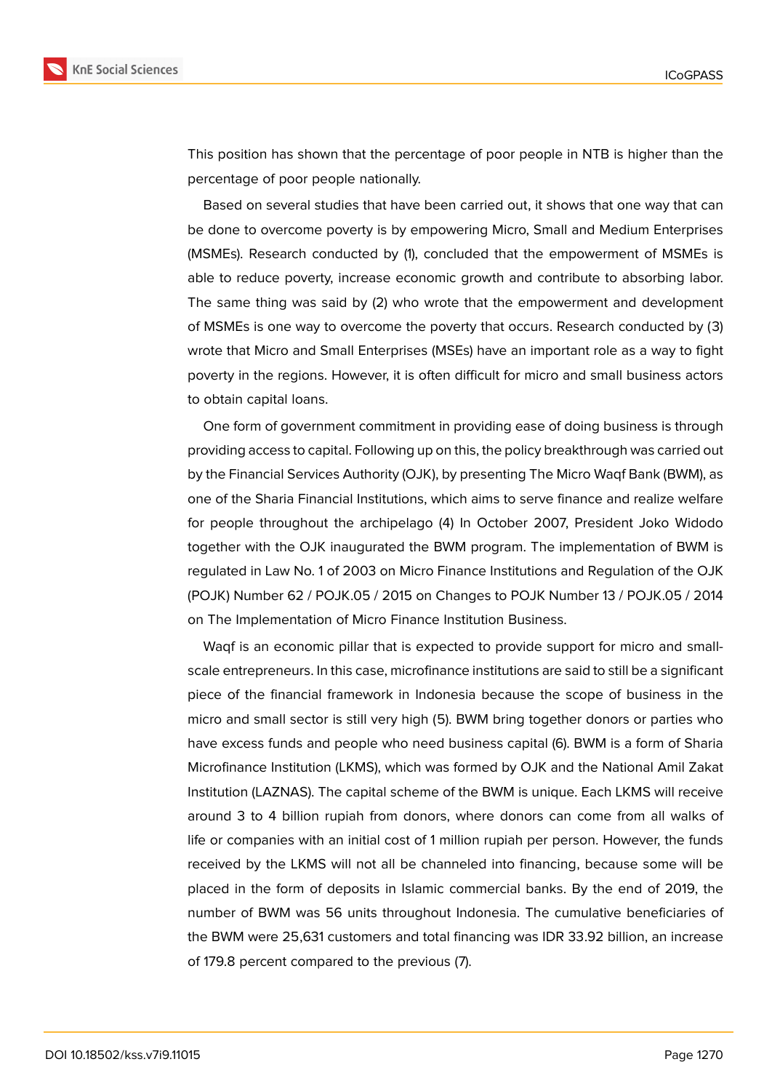

This position has shown that the percentage of poor people in NTB is higher than the percentage of poor people nationally.

Based on several studies that have been carried out, it shows that one way that can be done to overcome poverty is by empowering Micro, Small and Medium Enterprises (MSMEs). Research conducted by (1), concluded that the empowerment of MSMEs is able to reduce poverty, increase economic growth and contribute to absorbing labor. The same thing was said by (2) who wrote that the empowerment and development of MSMEs is one way to overcome the poverty that occurs. Research conducted by (3) wrote that Micro and Small Enterprises (MSEs) have an important role as a way to fight poverty in the regions. However, it is often difficult for micro and small business actors to obtain capital loans.

One form of government commitment in providing ease of doing business is through providing access to capital. Following up on this, the policy breakthrough was carried out by the Financial Services Authority (OJK), by presenting The Micro Waqf Bank (BWM), as one of the Sharia Financial Institutions, which aims to serve finance and realize welfare for people throughout the archipelago (4) In October 2007, President Joko Widodo together with the OJK inaugurated the BWM program. The implementation of BWM is regulated in Law No. 1 of 2003 on Micro Finance Institutions and Regulation of the OJK (POJK) Number 62 / POJK.05 / 2015 on Changes to POJK Number 13 / POJK.05 / 2014 on The Implementation of Micro Finance Institution Business.

Waqf is an economic pillar that is expected to provide support for micro and smallscale entrepreneurs. In this case, microfinance institutions are said to still be a significant piece of the financial framework in Indonesia because the scope of business in the micro and small sector is still very high (5). BWM bring together donors or parties who have excess funds and people who need business capital (6). BWM is a form of Sharia Microfinance Institution (LKMS), which was formed by OJK and the National Amil Zakat Institution (LAZNAS). The capital scheme of the BWM is unique. Each LKMS will receive around 3 to 4 billion rupiah from donors, where donors can come from all walks of life or companies with an initial cost of 1 million rupiah per person. However, the funds received by the LKMS will not all be channeled into financing, because some will be placed in the form of deposits in Islamic commercial banks. By the end of 2019, the number of BWM was 56 units throughout Indonesia. The cumulative beneficiaries of the BWM were 25,631 customers and total financing was IDR 33.92 billion, an increase of 179.8 percent compared to the previous (7).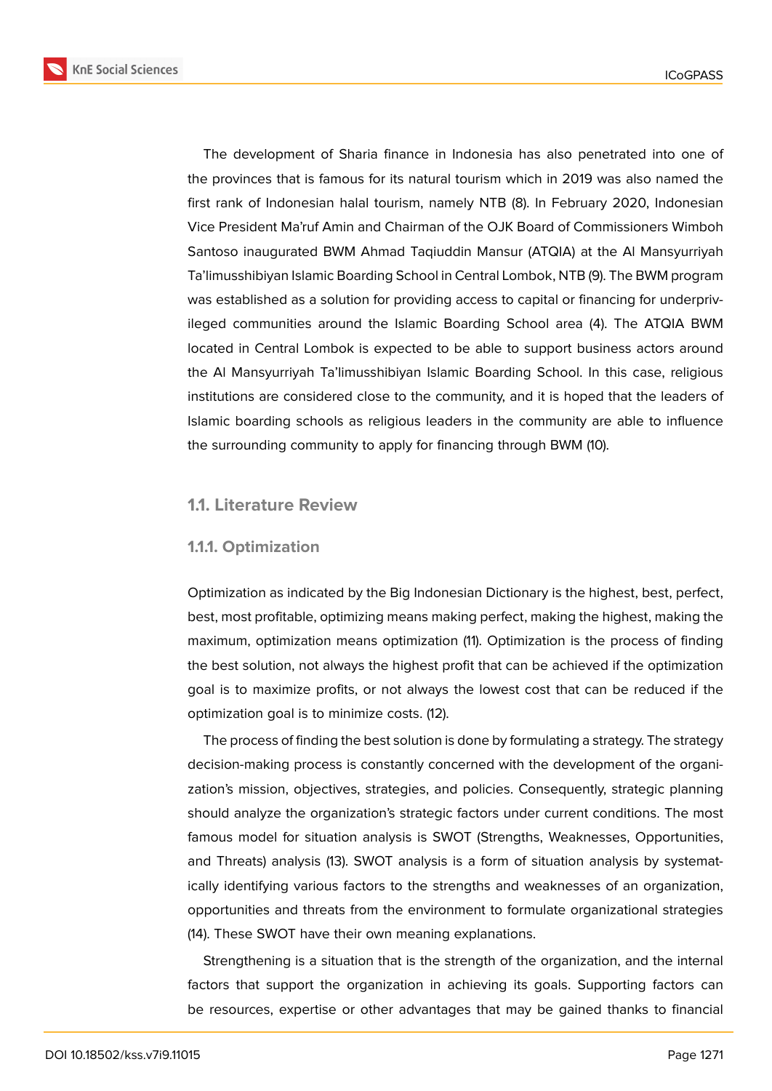

The development of Sharia finance in Indonesia has also penetrated into one of the provinces that is famous for its natural tourism which in 2019 was also named the first rank of Indonesian halal tourism, namely NTB (8). In February 2020, Indonesian Vice President Ma'ruf Amin and Chairman of the OJK Board of Commissioners Wimboh Santoso inaugurated BWM Ahmad Taqiuddin Mansur (ATQIA) at the Al Mansyurriyah Ta'limusshibiyan Islamic Boarding School in Central Lombok, NTB (9). The BWM program was established as a solution for providing access to capital or financing for underprivileged communities around the Islamic Boarding School area (4). The ATQIA BWM located in Central Lombok is expected to be able to support business actors around the Al Mansyurriyah Ta'limusshibiyan Islamic Boarding School. In this case, religious institutions are considered close to the community, and it is hoped that the leaders of Islamic boarding schools as religious leaders in the community are able to influence the surrounding community to apply for financing through BWM (10).

# **1.1. Literature Review**

## **1.1.1. Optimization**

Optimization as indicated by the Big Indonesian Dictionary is the highest, best, perfect, best, most profitable, optimizing means making perfect, making the highest, making the maximum, optimization means optimization (11). Optimization is the process of finding the best solution, not always the highest profit that can be achieved if the optimization goal is to maximize profits, or not always the lowest cost that can be reduced if the optimization goal is to minimize costs. (12).

The process of finding the best solution is done by formulating a strategy. The strategy decision-making process is constantly concerned with the development of the organization's mission, objectives, strategies, and policies. Consequently, strategic planning should analyze the organization's strategic factors under current conditions. The most famous model for situation analysis is SWOT (Strengths, Weaknesses, Opportunities, and Threats) analysis (13). SWOT analysis is a form of situation analysis by systematically identifying various factors to the strengths and weaknesses of an organization, opportunities and threats from the environment to formulate organizational strategies (14). These SWOT have their own meaning explanations.

Strengthening is a situation that is the strength of the organization, and the internal factors that support the organization in achieving its goals. Supporting factors can be resources, expertise or other advantages that may be gained thanks to financial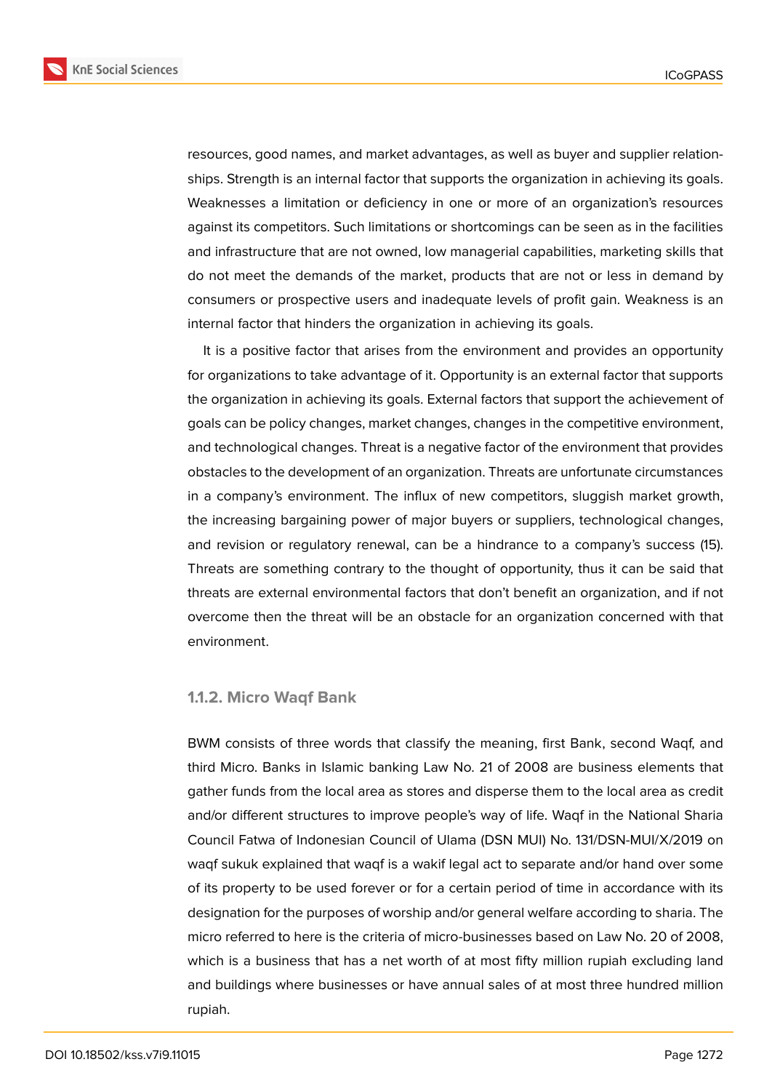

resources, good names, and market advantages, as well as buyer and supplier relationships. Strength is an internal factor that supports the organization in achieving its goals. Weaknesses a limitation or deficiency in one or more of an organization's resources against its competitors. Such limitations or shortcomings can be seen as in the facilities and infrastructure that are not owned, low managerial capabilities, marketing skills that do not meet the demands of the market, products that are not or less in demand by consumers or prospective users and inadequate levels of profit gain. Weakness is an internal factor that hinders the organization in achieving its goals.

It is a positive factor that arises from the environment and provides an opportunity for organizations to take advantage of it. Opportunity is an external factor that supports the organization in achieving its goals. External factors that support the achievement of goals can be policy changes, market changes, changes in the competitive environment, and technological changes. Threat is a negative factor of the environment that provides obstacles to the development of an organization. Threats are unfortunate circumstances in a company's environment. The influx of new competitors, sluggish market growth, the increasing bargaining power of major buyers or suppliers, technological changes, and revision or regulatory renewal, can be a hindrance to a company's success (15). Threats are something contrary to the thought of opportunity, thus it can be said that threats are external environmental factors that don't benefit an organization, and if not overcome then the threat will be an obstacle for an organization concerned with that environment.

### **1.1.2. Micro Waqf Bank**

BWM consists of three words that classify the meaning, first Bank, second Waqf, and third Micro. Banks in Islamic banking Law No. 21 of 2008 are business elements that gather funds from the local area as stores and disperse them to the local area as credit and/or different structures to improve people's way of life. Waqf in the National Sharia Council Fatwa of Indonesian Council of Ulama (DSN MUI) No. 131/DSN-MUI/X/2019 on waqf sukuk explained that waqf is a wakif legal act to separate and/or hand over some of its property to be used forever or for a certain period of time in accordance with its designation for the purposes of worship and/or general welfare according to sharia. The micro referred to here is the criteria of micro-businesses based on Law No. 20 of 2008, which is a business that has a net worth of at most fifty million rupiah excluding land and buildings where businesses or have annual sales of at most three hundred million rupiah.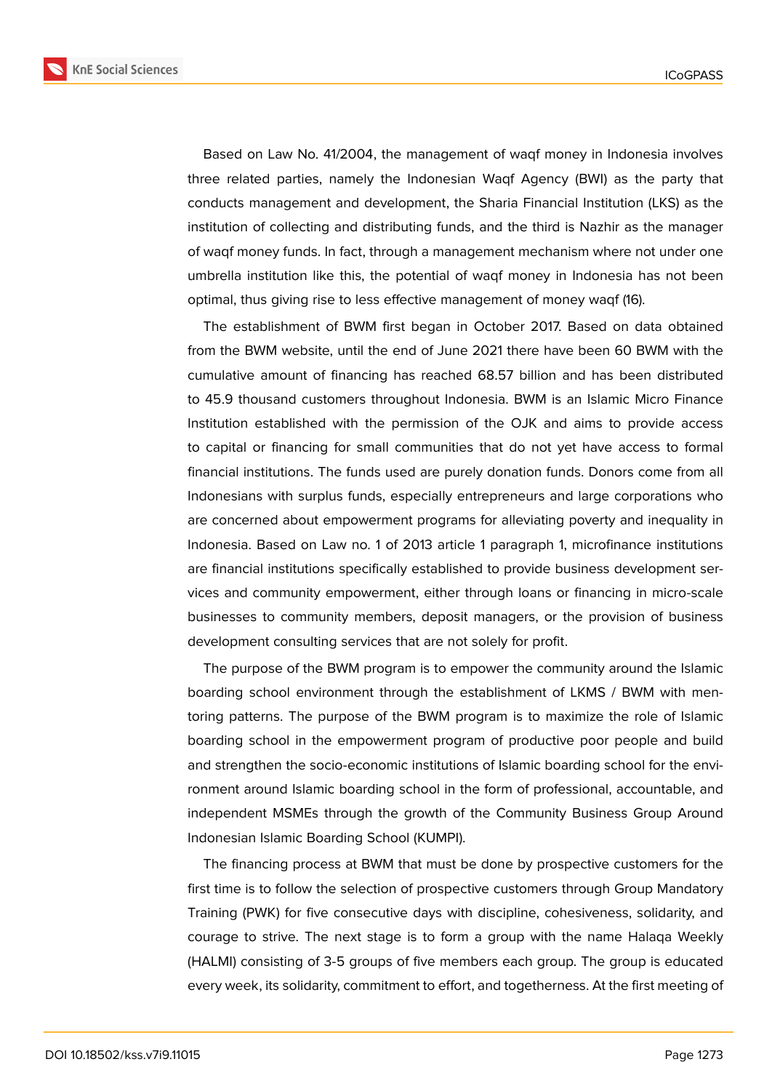

Based on Law No. 41/2004, the management of waqf money in Indonesia involves three related parties, namely the Indonesian Waqf Agency (BWI) as the party that conducts management and development, the Sharia Financial Institution (LKS) as the institution of collecting and distributing funds, and the third is Nazhir as the manager of waqf money funds. In fact, through a management mechanism where not under one umbrella institution like this, the potential of waqf money in Indonesia has not been optimal, thus giving rise to less effective management of money waqf (16).

The establishment of BWM first began in October 2017. Based on data obtained from the BWM website, until the end of June 2021 there have been 60 BWM with the cumulative amount of financing has reached 68.57 billion and has been distributed to 45.9 thousand customers throughout Indonesia. BWM is an Islamic Micro Finance Institution established with the permission of the OJK and aims to provide access to capital or financing for small communities that do not yet have access to formal financial institutions. The funds used are purely donation funds. Donors come from all Indonesians with surplus funds, especially entrepreneurs and large corporations who are concerned about empowerment programs for alleviating poverty and inequality in Indonesia. Based on Law no. 1 of 2013 article 1 paragraph 1, microfinance institutions are financial institutions specifically established to provide business development services and community empowerment, either through loans or financing in micro-scale businesses to community members, deposit managers, or the provision of business development consulting services that are not solely for profit.

The purpose of the BWM program is to empower the community around the Islamic boarding school environment through the establishment of LKMS / BWM with mentoring patterns. The purpose of the BWM program is to maximize the role of Islamic boarding school in the empowerment program of productive poor people and build and strengthen the socio-economic institutions of Islamic boarding school for the environment around Islamic boarding school in the form of professional, accountable, and independent MSMEs through the growth of the Community Business Group Around Indonesian Islamic Boarding School (KUMPI).

The financing process at BWM that must be done by prospective customers for the first time is to follow the selection of prospective customers through Group Mandatory Training (PWK) for five consecutive days with discipline, cohesiveness, solidarity, and courage to strive. The next stage is to form a group with the name Halaqa Weekly (HALMI) consisting of 3-5 groups of five members each group. The group is educated every week, its solidarity, commitment to effort, and togetherness. At the first meeting of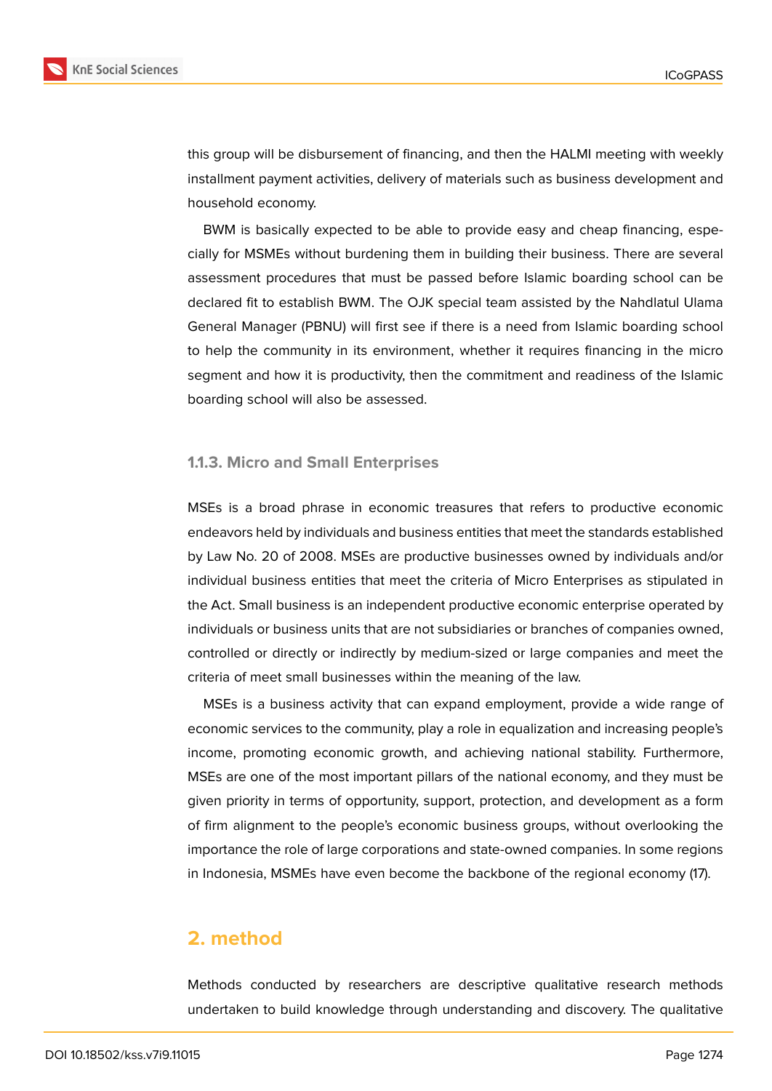

this group will be disbursement of financing, and then the HALMI meeting with weekly installment payment activities, delivery of materials such as business development and household economy.

BWM is basically expected to be able to provide easy and cheap financing, especially for MSMEs without burdening them in building their business. There are several assessment procedures that must be passed before Islamic boarding school can be declared fit to establish BWM. The OJK special team assisted by the Nahdlatul Ulama General Manager (PBNU) will first see if there is a need from Islamic boarding school to help the community in its environment, whether it requires financing in the micro segment and how it is productivity, then the commitment and readiness of the Islamic boarding school will also be assessed.

### **1.1.3. Micro and Small Enterprises**

MSEs is a broad phrase in economic treasures that refers to productive economic endeavors held by individuals and business entities that meet the standards established by Law No. 20 of 2008. MSEs are productive businesses owned by individuals and/or individual business entities that meet the criteria of Micro Enterprises as stipulated in the Act. Small business is an independent productive economic enterprise operated by individuals or business units that are not subsidiaries or branches of companies owned, controlled or directly or indirectly by medium-sized or large companies and meet the criteria of meet small businesses within the meaning of the law.

MSEs is a business activity that can expand employment, provide a wide range of economic services to the community, play a role in equalization and increasing people's income, promoting economic growth, and achieving national stability. Furthermore, MSEs are one of the most important pillars of the national economy, and they must be given priority in terms of opportunity, support, protection, and development as a form of firm alignment to the people's economic business groups, without overlooking the importance the role of large corporations and state-owned companies. In some regions in Indonesia, MSMEs have even become the backbone of the regional economy (17).

# **2. method**

Methods conducted by researchers are descriptive qualitative research methods undertaken to build knowledge through understanding and discovery. The qualitative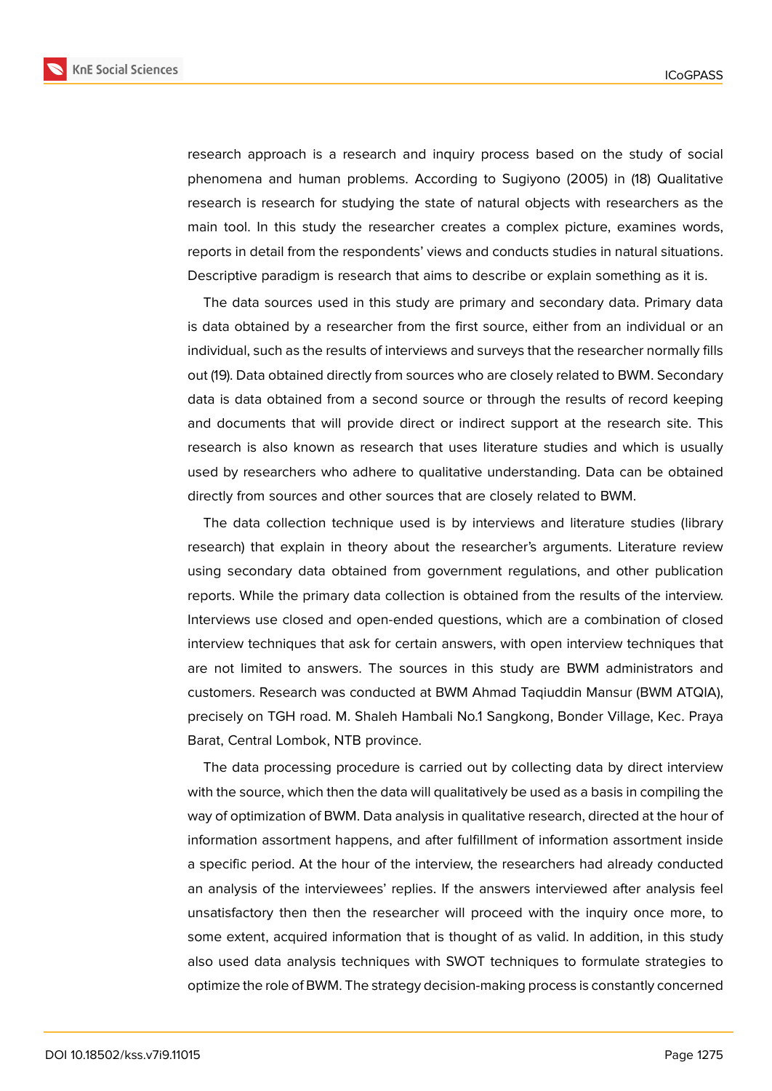

research approach is a research and inquiry process based on the study of social phenomena and human problems. According to Sugiyono (2005) in (18) Qualitative research is research for studying the state of natural objects with researchers as the main tool. In this study the researcher creates a complex picture, examines words, reports in detail from the respondents' views and conducts studies in natural situations. Descriptive paradigm is research that aims to describe or explain something as it is.

The data sources used in this study are primary and secondary data. Primary data is data obtained by a researcher from the first source, either from an individual or an individual, such as the results of interviews and surveys that the researcher normally fills out (19). Data obtained directly from sources who are closely related to BWM. Secondary data is data obtained from a second source or through the results of record keeping and documents that will provide direct or indirect support at the research site. This research is also known as research that uses literature studies and which is usually used by researchers who adhere to qualitative understanding. Data can be obtained directly from sources and other sources that are closely related to BWM.

The data collection technique used is by interviews and literature studies (library research) that explain in theory about the researcher's arguments. Literature review using secondary data obtained from government regulations, and other publication reports. While the primary data collection is obtained from the results of the interview. Interviews use closed and open-ended questions, which are a combination of closed interview techniques that ask for certain answers, with open interview techniques that are not limited to answers. The sources in this study are BWM administrators and customers. Research was conducted at BWM Ahmad Taqiuddin Mansur (BWM ATQIA), precisely on TGH road. M. Shaleh Hambali No.1 Sangkong, Bonder Village, Kec. Praya Barat, Central Lombok, NTB province.

The data processing procedure is carried out by collecting data by direct interview with the source, which then the data will qualitatively be used as a basis in compiling the way of optimization of BWM. Data analysis in qualitative research, directed at the hour of information assortment happens, and after fulfillment of information assortment inside a specific period. At the hour of the interview, the researchers had already conducted an analysis of the interviewees' replies. If the answers interviewed after analysis feel unsatisfactory then then the researcher will proceed with the inquiry once more, to some extent, acquired information that is thought of as valid. In addition, in this study also used data analysis techniques with SWOT techniques to formulate strategies to optimize the role of BWM. The strategy decision-making process is constantly concerned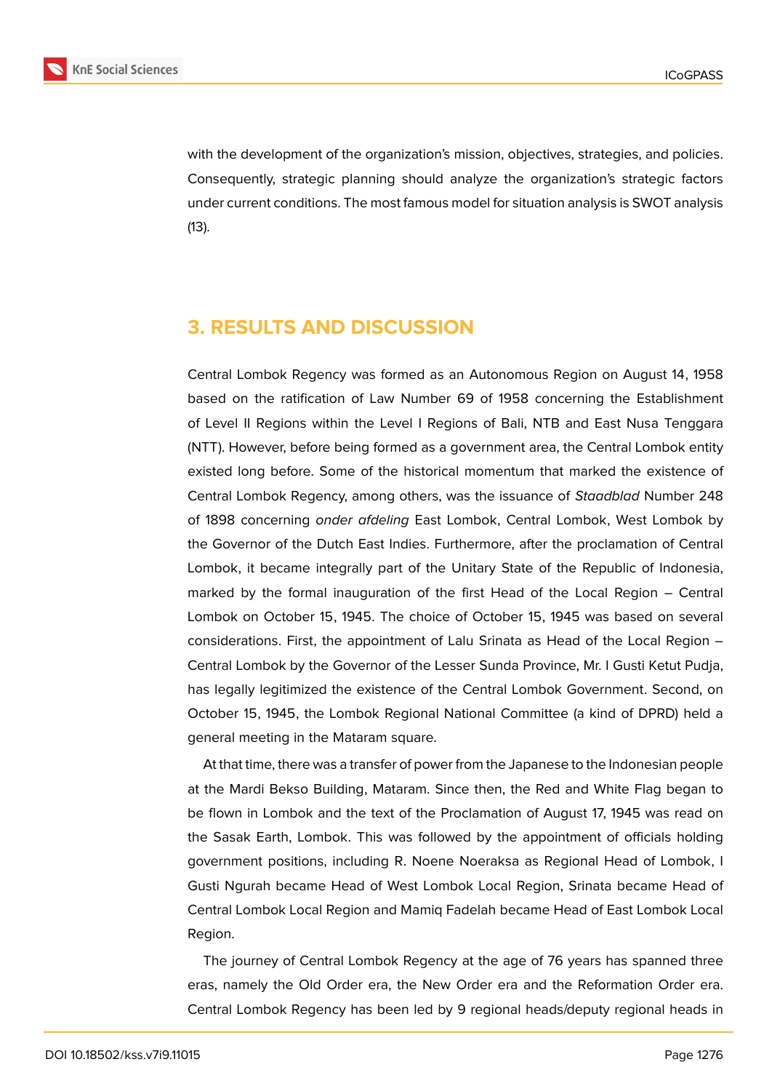

with the development of the organization's mission, objectives, strategies, and policies. Consequently, strategic planning should analyze the organization's strategic factors under current conditions. The most famous model for situation analysis is SWOT analysis (13).

# **3. RESULTS AND DISCUSSION**

Central Lombok Regency was formed as an Autonomous Region on August 14, 1958 based on the ratification of Law Number 69 of 1958 concerning the Establishment of Level II Regions within the Level I Regions of Bali, NTB and East Nusa Tenggara (NTT). However, before being formed as a government area, the Central Lombok entity existed long before. Some of the historical momentum that marked the existence of Central Lombok Regency, among others, was the issuance of *Staadblad* Number 248 of 1898 concerning *onder afdeling* East Lombok, Central Lombok, West Lombok by the Governor of the Dutch East Indies. Furthermore, after the proclamation of Central Lombok, it became integrally part of the Unitary State of the Republic of Indonesia, marked by the formal inauguration of the first Head of the Local Region – Central Lombok on October 15, 1945. The choice of October 15, 1945 was based on several considerations. First, the appointment of Lalu Srinata as Head of the Local Region – Central Lombok by the Governor of the Lesser Sunda Province, Mr. I Gusti Ketut Pudja, has legally legitimized the existence of the Central Lombok Government. Second, on October 15, 1945, the Lombok Regional National Committee (a kind of DPRD) held a general meeting in the Mataram square.

At that time, there was a transfer of power from the Japanese to the Indonesian people at the Mardi Bekso Building, Mataram. Since then, the Red and White Flag began to be flown in Lombok and the text of the Proclamation of August 17, 1945 was read on the Sasak Earth, Lombok. This was followed by the appointment of officials holding government positions, including R. Noene Noeraksa as Regional Head of Lombok, I Gusti Ngurah became Head of West Lombok Local Region, Srinata became Head of Central Lombok Local Region and Mamiq Fadelah became Head of East Lombok Local Region.

The journey of Central Lombok Regency at the age of 76 years has spanned three eras, namely the Old Order era, the New Order era and the Reformation Order era. Central Lombok Regency has been led by 9 regional heads/deputy regional heads in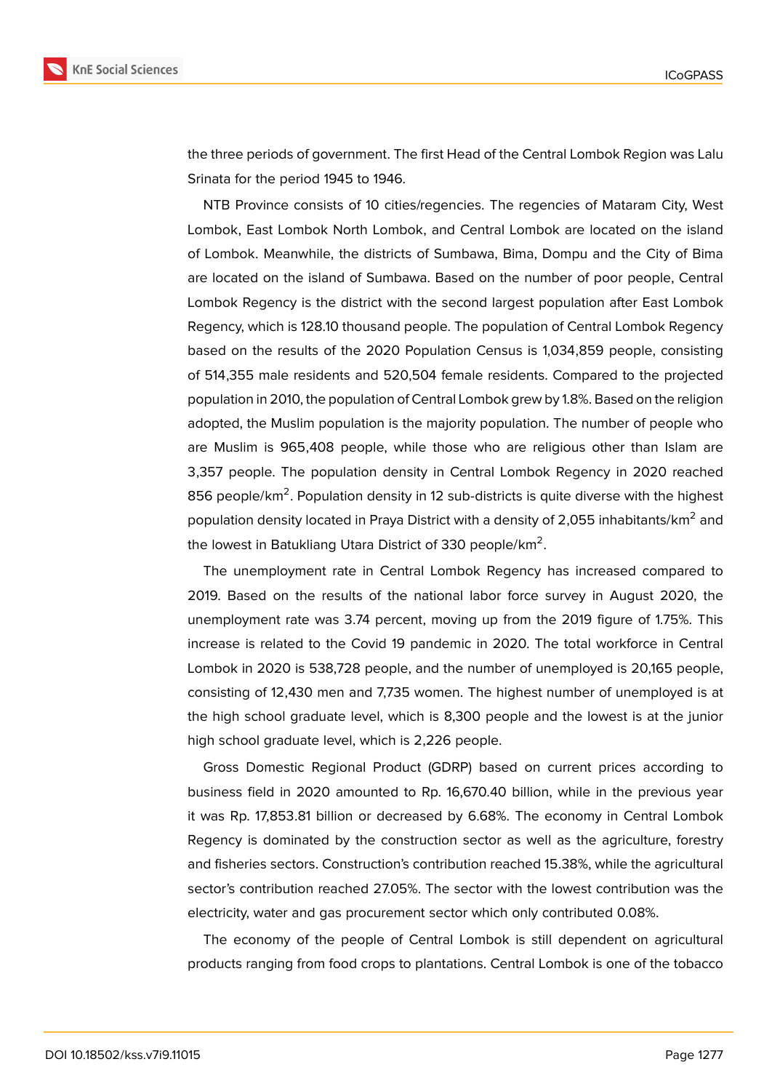



the three periods of government. The first Head of the Central Lombok Region was Lalu Srinata for the period 1945 to 1946.

NTB Province consists of 10 cities/regencies. The regencies of Mataram City, West Lombok, East Lombok North Lombok, and Central Lombok are located on the island of Lombok. Meanwhile, the districts of Sumbawa, Bima, Dompu and the City of Bima are located on the island of Sumbawa. Based on the number of poor people, Central Lombok Regency is the district with the second largest population after East Lombok Regency, which is 128.10 thousand people. The population of Central Lombok Regency based on the results of the 2020 Population Census is 1,034,859 people, consisting of 514,355 male residents and 520,504 female residents. Compared to the projected population in 2010, the population of Central Lombok grew by 1.8%. Based on the religion adopted, the Muslim population is the majority population. The number of people who are Muslim is 965,408 people, while those who are religious other than Islam are 3,357 people. The population density in Central Lombok Regency in 2020 reached 856 people/km<sup>2</sup>. Population density in 12 sub-districts is quite diverse with the highest population density located in Praya District with a density of 2,055 inhabitants/km $^2$  and the lowest in Batukliang Utara District of 330 people/km $^2\!$ .

The unemployment rate in Central Lombok Regency has increased compared to 2019. Based on the results of the national labor force survey in August 2020, the unemployment rate was 3.74 percent, moving up from the 2019 figure of 1.75%. This increase is related to the Covid 19 pandemic in 2020. The total workforce in Central Lombok in 2020 is 538,728 people, and the number of unemployed is 20,165 people, consisting of 12,430 men and 7,735 women. The highest number of unemployed is at the high school graduate level, which is 8,300 people and the lowest is at the junior high school graduate level, which is 2,226 people.

Gross Domestic Regional Product (GDRP) based on current prices according to business field in 2020 amounted to Rp. 16,670.40 billion, while in the previous year it was Rp. 17,853.81 billion or decreased by 6.68%. The economy in Central Lombok Regency is dominated by the construction sector as well as the agriculture, forestry and fisheries sectors. Construction's contribution reached 15.38%, while the agricultural sector's contribution reached 27.05%. The sector with the lowest contribution was the electricity, water and gas procurement sector which only contributed 0.08%.

The economy of the people of Central Lombok is still dependent on agricultural products ranging from food crops to plantations. Central Lombok is one of the tobacco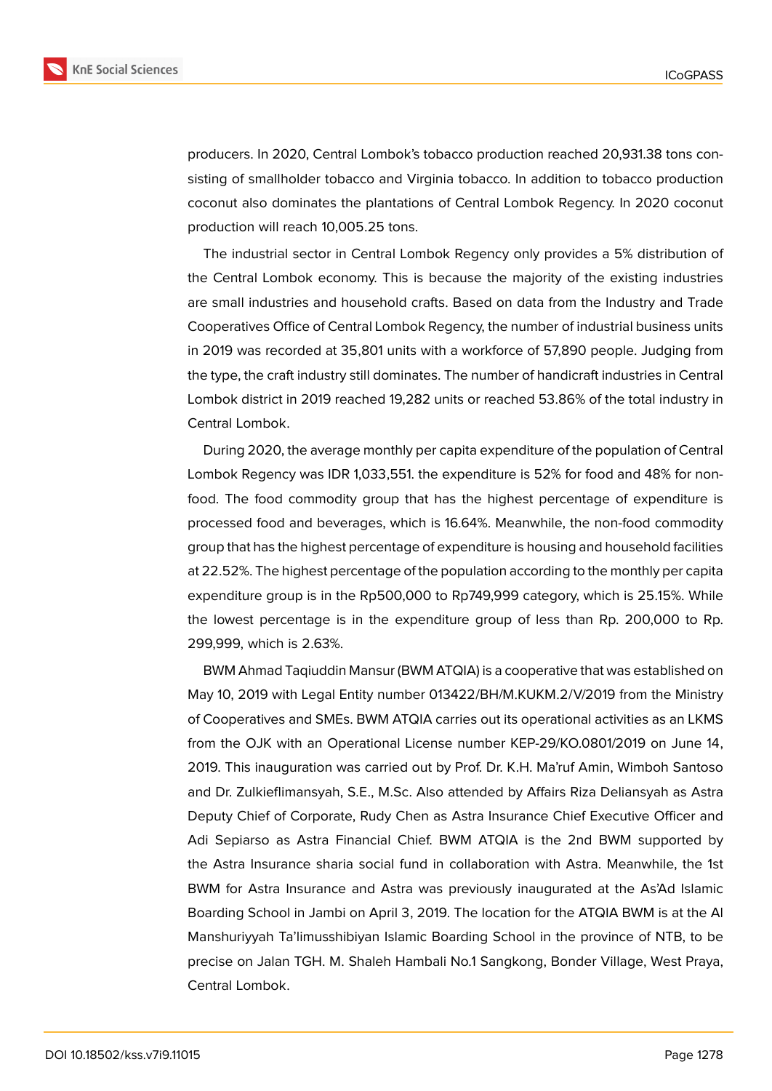

producers. In 2020, Central Lombok's tobacco production reached 20,931.38 tons consisting of smallholder tobacco and Virginia tobacco. In addition to tobacco production coconut also dominates the plantations of Central Lombok Regency. In 2020 coconut production will reach 10,005.25 tons.

The industrial sector in Central Lombok Regency only provides a 5% distribution of the Central Lombok economy. This is because the majority of the existing industries are small industries and household crafts. Based on data from the Industry and Trade Cooperatives Office of Central Lombok Regency, the number of industrial business units in 2019 was recorded at 35,801 units with a workforce of 57,890 people. Judging from the type, the craft industry still dominates. The number of handicraft industries in Central Lombok district in 2019 reached 19,282 units or reached 53.86% of the total industry in Central Lombok.

During 2020, the average monthly per capita expenditure of the population of Central Lombok Regency was IDR 1,033,551. the expenditure is 52% for food and 48% for nonfood. The food commodity group that has the highest percentage of expenditure is processed food and beverages, which is 16.64%. Meanwhile, the non-food commodity group that has the highest percentage of expenditure is housing and household facilities at 22.52%. The highest percentage of the population according to the monthly per capita expenditure group is in the Rp500,000 to Rp749,999 category, which is 25.15%. While the lowest percentage is in the expenditure group of less than Rp. 200,000 to Rp. 299,999, which is 2.63%.

BWM Ahmad Taqiuddin Mansur (BWM ATQIA) is a cooperative that was established on May 10, 2019 with Legal Entity number 013422/BH/M.KUKM.2/V/2019 from the Ministry of Cooperatives and SMEs. BWM ATQIA carries out its operational activities as an LKMS from the OJK with an Operational License number KEP-29/KO.0801/2019 on June 14, 2019. This inauguration was carried out by Prof. Dr. K.H. Ma'ruf Amin, Wimboh Santoso and Dr. Zulkieflimansyah, S.E., M.Sc. Also attended by Affairs Riza Deliansyah as Astra Deputy Chief of Corporate, Rudy Chen as Astra Insurance Chief Executive Officer and Adi Sepiarso as Astra Financial Chief. BWM ATQIA is the 2nd BWM supported by the Astra Insurance sharia social fund in collaboration with Astra. Meanwhile, the 1st BWM for Astra Insurance and Astra was previously inaugurated at the As'Ad Islamic Boarding School in Jambi on April 3, 2019. The location for the ATQIA BWM is at the Al Manshuriyyah Ta'limusshibiyan Islamic Boarding School in the province of NTB, to be precise on Jalan TGH. M. Shaleh Hambali No.1 Sangkong, Bonder Village, West Praya, Central Lombok.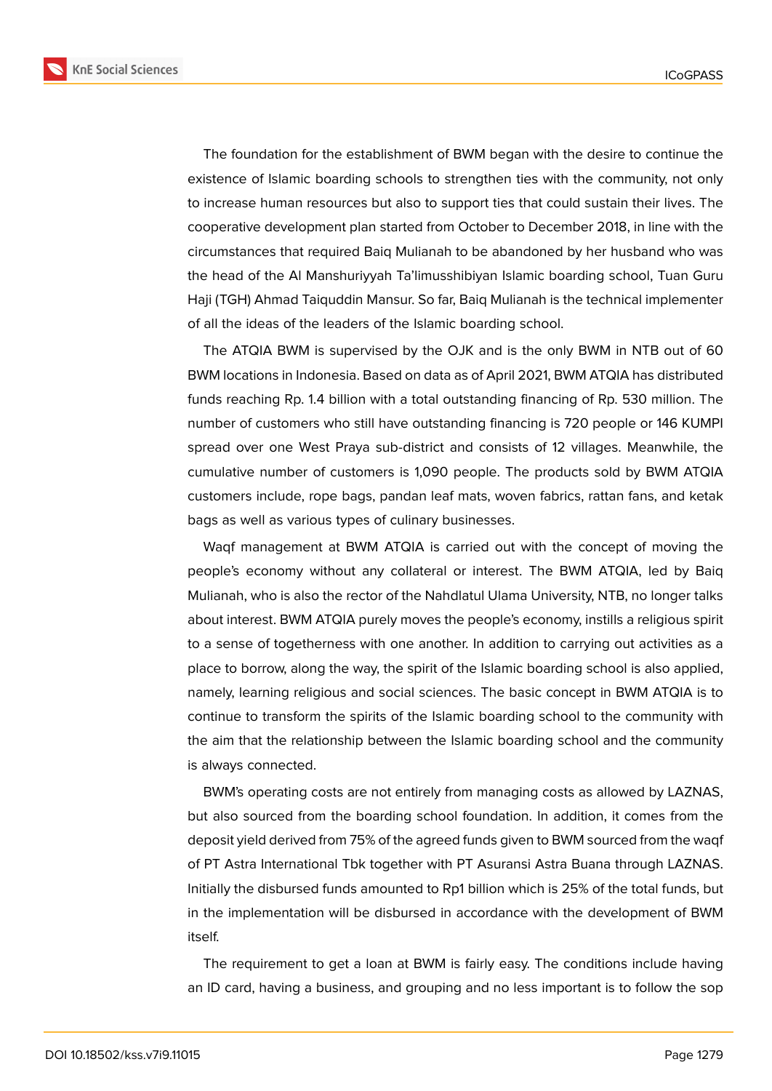

The foundation for the establishment of BWM began with the desire to continue the existence of Islamic boarding schools to strengthen ties with the community, not only to increase human resources but also to support ties that could sustain their lives. The cooperative development plan started from October to December 2018, in line with the circumstances that required Baiq Mulianah to be abandoned by her husband who was the head of the Al Manshuriyyah Ta'limusshibiyan Islamic boarding school, Tuan Guru Haji (TGH) Ahmad Taiquddin Mansur. So far, Baiq Mulianah is the technical implementer of all the ideas of the leaders of the Islamic boarding school.

The ATQIA BWM is supervised by the OJK and is the only BWM in NTB out of 60 BWM locations in Indonesia. Based on data as of April 2021, BWM ATQIA has distributed funds reaching Rp. 1.4 billion with a total outstanding financing of Rp. 530 million. The number of customers who still have outstanding financing is 720 people or 146 KUMPI spread over one West Praya sub-district and consists of 12 villages. Meanwhile, the cumulative number of customers is 1,090 people. The products sold by BWM ATQIA customers include, rope bags, pandan leaf mats, woven fabrics, rattan fans, and ketak bags as well as various types of culinary businesses.

Waqf management at BWM ATQIA is carried out with the concept of moving the people's economy without any collateral or interest. The BWM ATQIA, led by Baiq Mulianah, who is also the rector of the Nahdlatul Ulama University, NTB, no longer talks about interest. BWM ATQIA purely moves the people's economy, instills a religious spirit to a sense of togetherness with one another. In addition to carrying out activities as a place to borrow, along the way, the spirit of the Islamic boarding school is also applied, namely, learning religious and social sciences. The basic concept in BWM ATQIA is to continue to transform the spirits of the Islamic boarding school to the community with the aim that the relationship between the Islamic boarding school and the community is always connected.

BWM's operating costs are not entirely from managing costs as allowed by LAZNAS, but also sourced from the boarding school foundation. In addition, it comes from the deposit yield derived from 75% of the agreed funds given to BWM sourced from the waqf of PT Astra International Tbk together with PT Asuransi Astra Buana through LAZNAS. Initially the disbursed funds amounted to Rp1 billion which is 25% of the total funds, but in the implementation will be disbursed in accordance with the development of BWM itself.

The requirement to get a loan at BWM is fairly easy. The conditions include having an ID card, having a business, and grouping and no less important is to follow the sop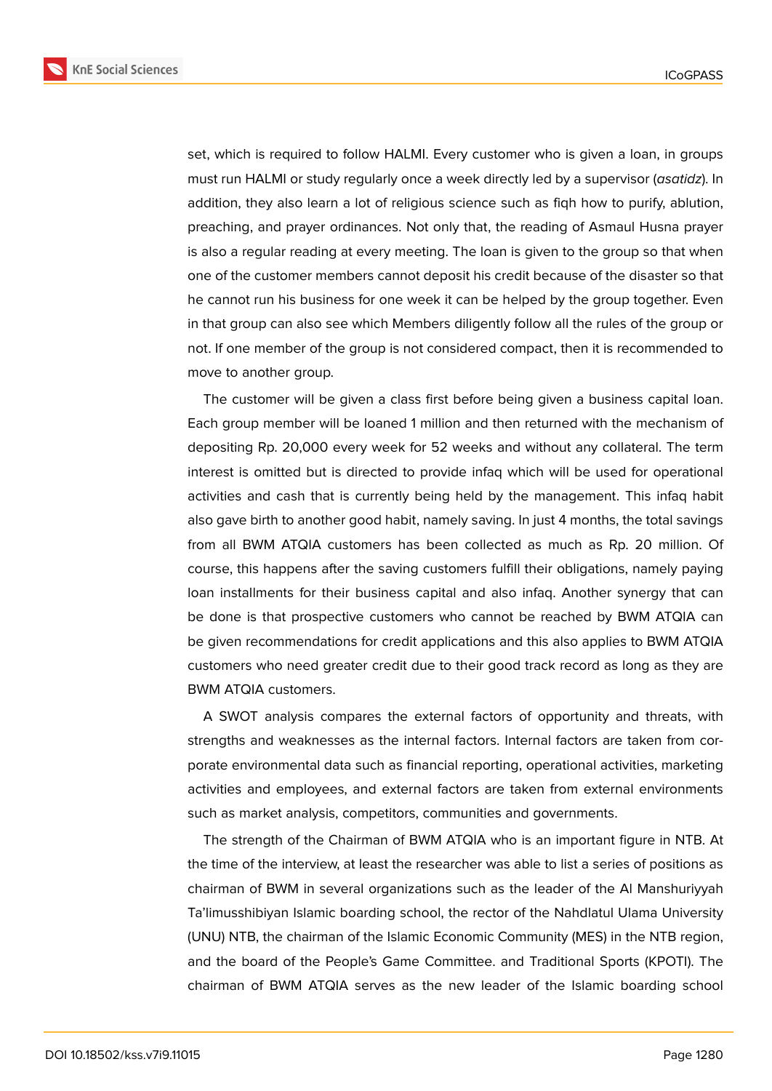

set, which is required to follow HALMI. Every customer who is given a loan, in groups must run HALMI or study regularly once a week directly led by a supervisor (*asatidz*). In addition, they also learn a lot of religious science such as fiqh how to purify, ablution, preaching, and prayer ordinances. Not only that, the reading of Asmaul Husna prayer is also a regular reading at every meeting. The loan is given to the group so that when one of the customer members cannot deposit his credit because of the disaster so that he cannot run his business for one week it can be helped by the group together. Even in that group can also see which Members diligently follow all the rules of the group or not. If one member of the group is not considered compact, then it is recommended to move to another group.

The customer will be given a class first before being given a business capital loan. Each group member will be loaned 1 million and then returned with the mechanism of depositing Rp. 20,000 every week for 52 weeks and without any collateral. The term interest is omitted but is directed to provide infaq which will be used for operational activities and cash that is currently being held by the management. This infaq habit also gave birth to another good habit, namely saving. In just 4 months, the total savings from all BWM ATQIA customers has been collected as much as Rp. 20 million. Of course, this happens after the saving customers fulfill their obligations, namely paying loan installments for their business capital and also infaq. Another synergy that can be done is that prospective customers who cannot be reached by BWM ATQIA can be given recommendations for credit applications and this also applies to BWM ATQIA customers who need greater credit due to their good track record as long as they are BWM ATQIA customers.

A SWOT analysis compares the external factors of opportunity and threats, with strengths and weaknesses as the internal factors. Internal factors are taken from corporate environmental data such as financial reporting, operational activities, marketing activities and employees, and external factors are taken from external environments such as market analysis, competitors, communities and governments.

The strength of the Chairman of BWM ATQIA who is an important figure in NTB. At the time of the interview, at least the researcher was able to list a series of positions as chairman of BWM in several organizations such as the leader of the Al Manshuriyyah Ta'limusshibiyan Islamic boarding school, the rector of the Nahdlatul Ulama University (UNU) NTB, the chairman of the Islamic Economic Community (MES) in the NTB region, and the board of the People's Game Committee. and Traditional Sports (KPOTI). The chairman of BWM ATQIA serves as the new leader of the Islamic boarding school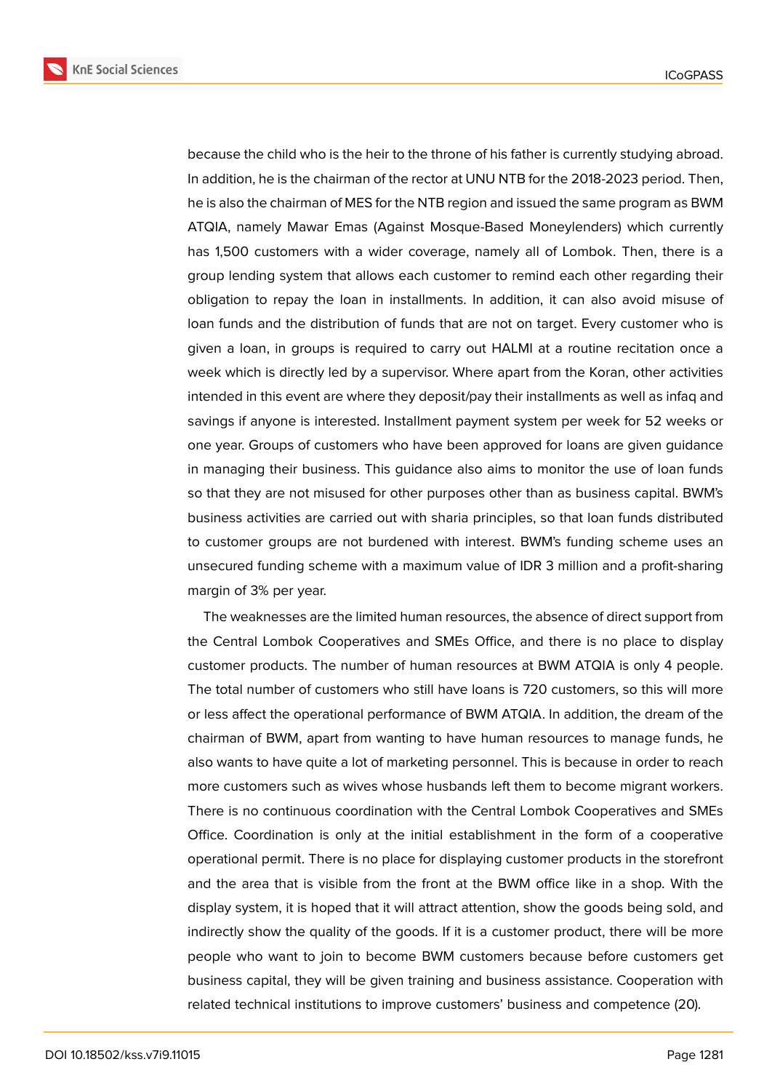

because the child who is the heir to the throne of his father is currently studying abroad. In addition, he is the chairman of the rector at UNU NTB for the 2018-2023 period. Then, he is also the chairman of MES for the NTB region and issued the same program as BWM ATQIA, namely Mawar Emas (Against Mosque-Based Moneylenders) which currently has 1,500 customers with a wider coverage, namely all of Lombok. Then, there is a group lending system that allows each customer to remind each other regarding their obligation to repay the loan in installments. In addition, it can also avoid misuse of loan funds and the distribution of funds that are not on target. Every customer who is given a loan, in groups is required to carry out HALMI at a routine recitation once a week which is directly led by a supervisor. Where apart from the Koran, other activities intended in this event are where they deposit/pay their installments as well as infaq and savings if anyone is interested. Installment payment system per week for 52 weeks or one year. Groups of customers who have been approved for loans are given guidance in managing their business. This guidance also aims to monitor the use of loan funds so that they are not misused for other purposes other than as business capital. BWM's business activities are carried out with sharia principles, so that loan funds distributed to customer groups are not burdened with interest. BWM's funding scheme uses an unsecured funding scheme with a maximum value of IDR 3 million and a profit-sharing margin of 3% per year.

The weaknesses are the limited human resources, the absence of direct support from the Central Lombok Cooperatives and SMEs Office, and there is no place to display customer products. The number of human resources at BWM ATQIA is only 4 people. The total number of customers who still have loans is 720 customers, so this will more or less affect the operational performance of BWM ATQIA. In addition, the dream of the chairman of BWM, apart from wanting to have human resources to manage funds, he also wants to have quite a lot of marketing personnel. This is because in order to reach more customers such as wives whose husbands left them to become migrant workers. There is no continuous coordination with the Central Lombok Cooperatives and SMEs Office. Coordination is only at the initial establishment in the form of a cooperative operational permit. There is no place for displaying customer products in the storefront and the area that is visible from the front at the BWM office like in a shop. With the display system, it is hoped that it will attract attention, show the goods being sold, and indirectly show the quality of the goods. If it is a customer product, there will be more people who want to join to become BWM customers because before customers get business capital, they will be given training and business assistance. Cooperation with related technical institutions to improve customers' business and competence (20).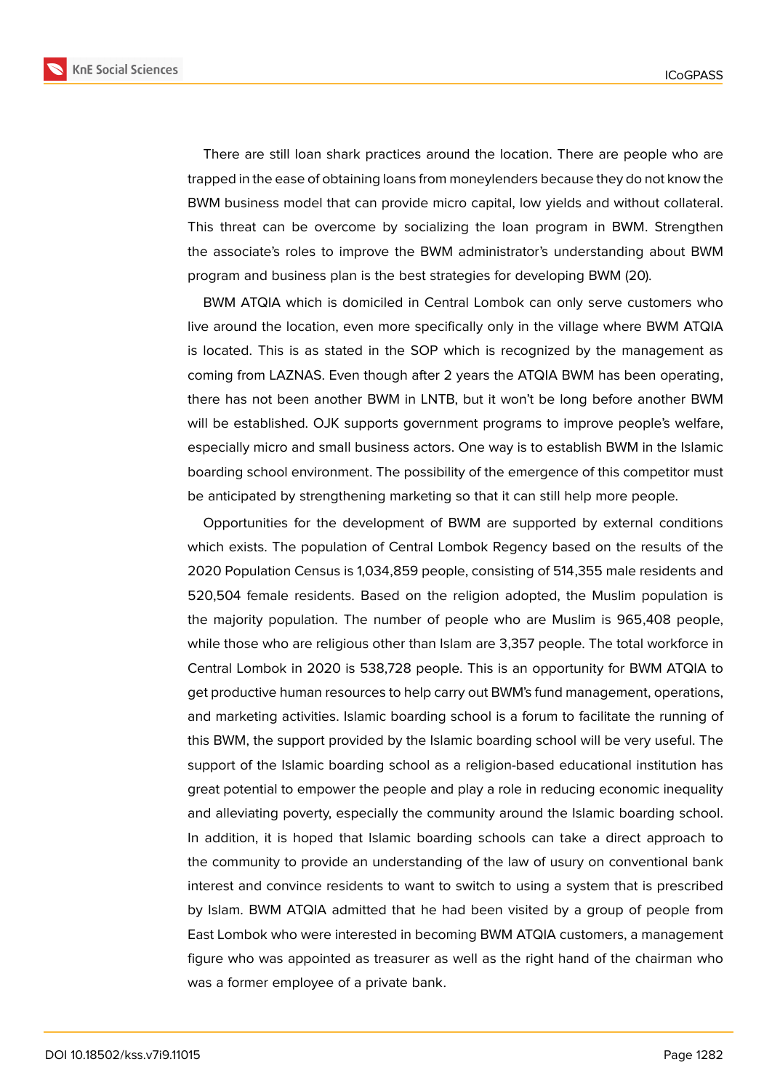

There are still loan shark practices around the location. There are people who are trapped in the ease of obtaining loans from moneylenders because they do not know the BWM business model that can provide micro capital, low yields and without collateral. This threat can be overcome by socializing the loan program in BWM. Strengthen the associate's roles to improve the BWM administrator's understanding about BWM program and business plan is the best strategies for developing BWM (20).

BWM ATQIA which is domiciled in Central Lombok can only serve customers who live around the location, even more specifically only in the village where BWM ATQIA is located. This is as stated in the SOP which is recognized by the management as coming from LAZNAS. Even though after 2 years the ATQIA BWM has been operating, there has not been another BWM in LNTB, but it won't be long before another BWM will be established. OJK supports government programs to improve people's welfare, especially micro and small business actors. One way is to establish BWM in the Islamic boarding school environment. The possibility of the emergence of this competitor must be anticipated by strengthening marketing so that it can still help more people.

Opportunities for the development of BWM are supported by external conditions which exists. The population of Central Lombok Regency based on the results of the 2020 Population Census is 1,034,859 people, consisting of 514,355 male residents and 520,504 female residents. Based on the religion adopted, the Muslim population is the majority population. The number of people who are Muslim is 965,408 people, while those who are religious other than Islam are 3,357 people. The total workforce in Central Lombok in 2020 is 538,728 people. This is an opportunity for BWM ATQIA to get productive human resources to help carry out BWM's fund management, operations, and marketing activities. Islamic boarding school is a forum to facilitate the running of this BWM, the support provided by the Islamic boarding school will be very useful. The support of the Islamic boarding school as a religion-based educational institution has great potential to empower the people and play a role in reducing economic inequality and alleviating poverty, especially the community around the Islamic boarding school. In addition, it is hoped that Islamic boarding schools can take a direct approach to the community to provide an understanding of the law of usury on conventional bank interest and convince residents to want to switch to using a system that is prescribed by Islam. BWM ATQIA admitted that he had been visited by a group of people from East Lombok who were interested in becoming BWM ATQIA customers, a management figure who was appointed as treasurer as well as the right hand of the chairman who was a former employee of a private bank.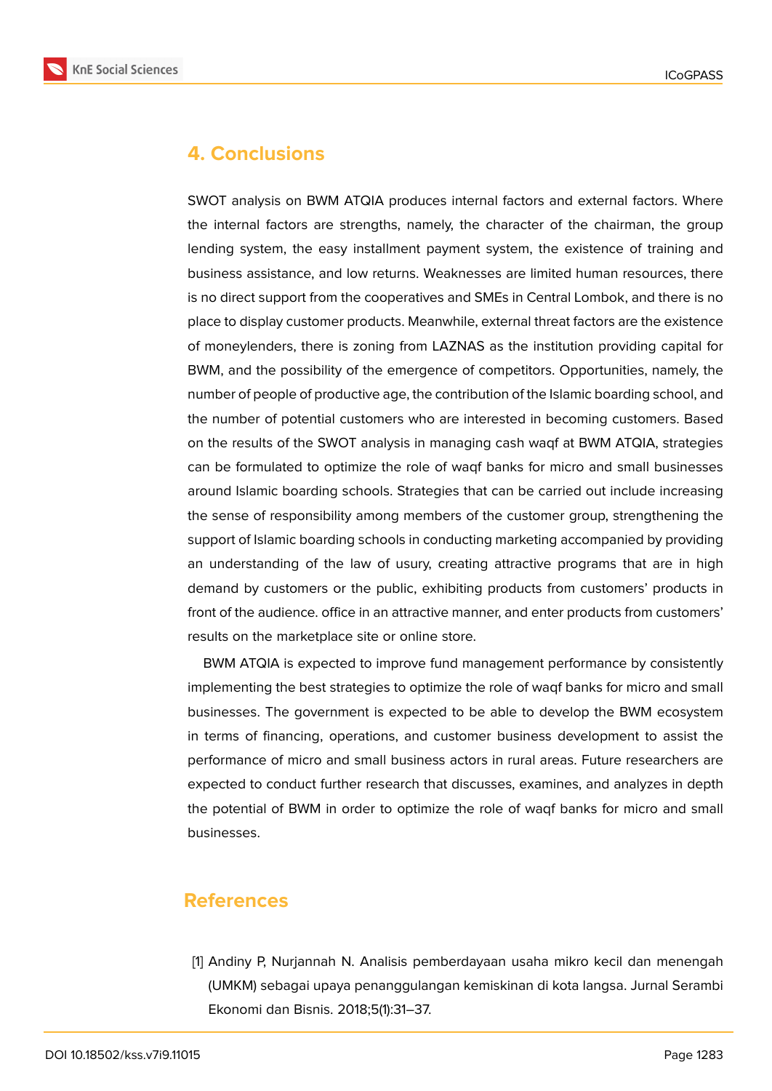

# **4. Conclusions**

SWOT analysis on BWM ATQIA produces internal factors and external factors. Where the internal factors are strengths, namely, the character of the chairman, the group lending system, the easy installment payment system, the existence of training and business assistance, and low returns. Weaknesses are limited human resources, there is no direct support from the cooperatives and SMEs in Central Lombok, and there is no place to display customer products. Meanwhile, external threat factors are the existence of moneylenders, there is zoning from LAZNAS as the institution providing capital for BWM, and the possibility of the emergence of competitors. Opportunities, namely, the number of people of productive age, the contribution of the Islamic boarding school, and the number of potential customers who are interested in becoming customers. Based on the results of the SWOT analysis in managing cash waqf at BWM ATQIA, strategies can be formulated to optimize the role of waqf banks for micro and small businesses around Islamic boarding schools. Strategies that can be carried out include increasing the sense of responsibility among members of the customer group, strengthening the support of Islamic boarding schools in conducting marketing accompanied by providing an understanding of the law of usury, creating attractive programs that are in high demand by customers or the public, exhibiting products from customers' products in front of the audience. office in an attractive manner, and enter products from customers' results on the marketplace site or online store.

BWM ATQIA is expected to improve fund management performance by consistently implementing the best strategies to optimize the role of waqf banks for micro and small businesses. The government is expected to be able to develop the BWM ecosystem in terms of financing, operations, and customer business development to assist the performance of micro and small business actors in rural areas. Future researchers are expected to conduct further research that discusses, examines, and analyzes in depth the potential of BWM in order to optimize the role of waqf banks for micro and small businesses.

# **References**

[1] Andiny P, Nurjannah N. Analisis pemberdayaan usaha mikro kecil dan menengah (UMKM) sebagai upaya penanggulangan kemiskinan di kota langsa. Jurnal Serambi Ekonomi dan Bisnis. 2018;5(1):31–37.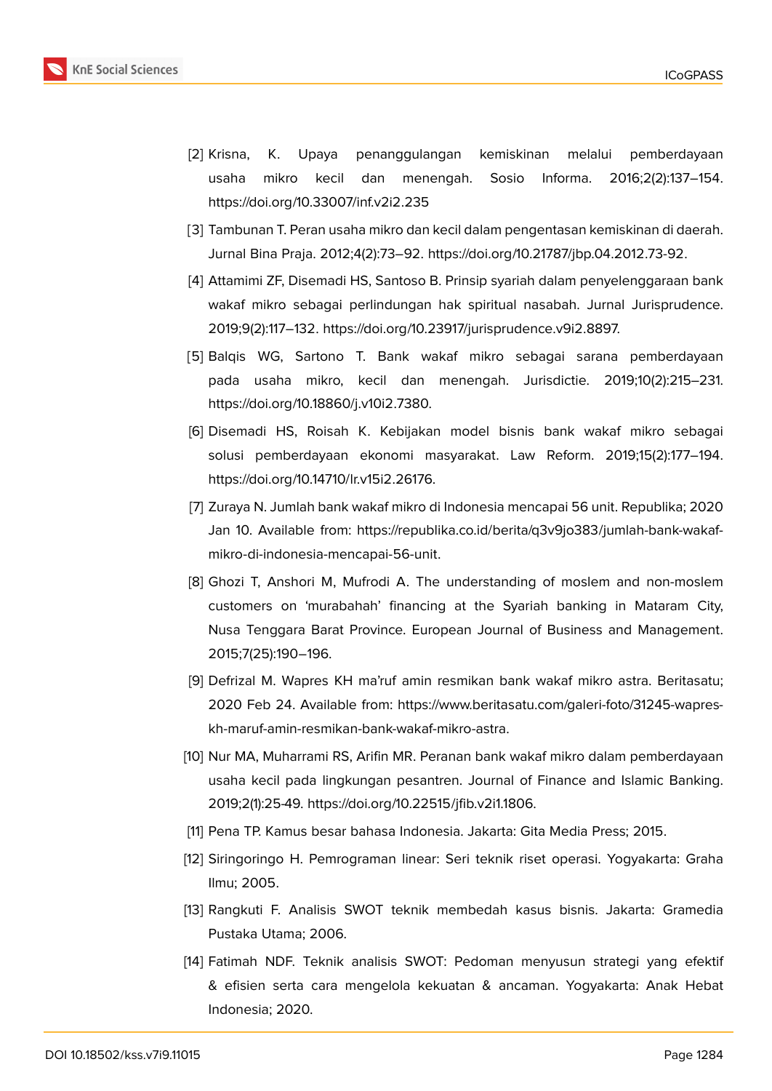

- [2] Krisna, K. Upaya penanggulangan kemiskinan melalui pemberdayaan usaha mikro kecil dan menengah. Sosio Informa. 2016;2(2):137–154. https://doi.org/10.33007/inf.v2i2.235
- [3] Tambunan T. Peran usaha mikro dan kecil dalam pengentasan kemiskinan di daerah. Jurnal Bina Praja. 2012;4(2):73–92. https://doi.org/10.21787/jbp.04.2012.73-92.
- [4] Attamimi ZF, Disemadi HS, Santoso B. Prinsip syariah dalam penyelenggaraan bank wakaf mikro sebagai perlindungan hak spiritual nasabah. Jurnal Jurisprudence. 2019;9(2):117–132. https://doi.org/10.23917/jurisprudence.v9i2.8897.
- [5] Balqis WG, Sartono T. Bank wakaf mikro sebagai sarana pemberdayaan pada usaha mikro, kecil dan menengah. Jurisdictie. 2019;10(2):215–231. https://doi.org/10.18860/j.v10i2.7380.
- [6] Disemadi HS, Roisah K. Kebijakan model bisnis bank wakaf mikro sebagai solusi pemberdayaan ekonomi masyarakat. Law Reform. 2019;15(2):177–194. https://doi.org/10.14710/lr.v15i2.26176.
- [7] Zuraya N. Jumlah bank wakaf mikro di Indonesia mencapai 56 unit. Republika; 2020 Jan 10. Available from: https://republika.co.id/berita/q3v9jo383/jumlah-bank-wakafmikro-di-indonesia-mencapai-56-unit.
- [8] Ghozi T, Anshori M, Mufrodi A. The understanding of moslem and non-moslem customers on 'murabahah' financing at the Syariah banking in Mataram City, Nusa Tenggara Barat Province. European Journal of Business and Management. 2015;7(25):190–196.
- [9] Defrizal M. Wapres KH ma'ruf amin resmikan bank wakaf mikro astra. Beritasatu; 2020 Feb 24. Available from: https://www.beritasatu.com/galeri-foto/31245-wapreskh-maruf-amin-resmikan-bank-wakaf-mikro-astra.
- [10] Nur MA, Muharrami RS, Arifin MR. Peranan bank wakaf mikro dalam pemberdayaan usaha kecil pada lingkungan pesantren. Journal of Finance and Islamic Banking. 2019;2(1):25-49. https://doi.org/10.22515/jfib.v2i1.1806.
- [11] Pena TP. Kamus besar bahasa Indonesia. Jakarta: Gita Media Press; 2015.
- [12] Siringoringo H. Pemrograman linear: Seri teknik riset operasi. Yogyakarta: Graha Ilmu; 2005.
- [13] Rangkuti F. Analisis SWOT teknik membedah kasus bisnis. Jakarta: Gramedia Pustaka Utama; 2006.
- [14] Fatimah NDF. Teknik analisis SWOT: Pedoman menyusun strategi yang efektif & efisien serta cara mengelola kekuatan & ancaman. Yogyakarta: Anak Hebat Indonesia; 2020.